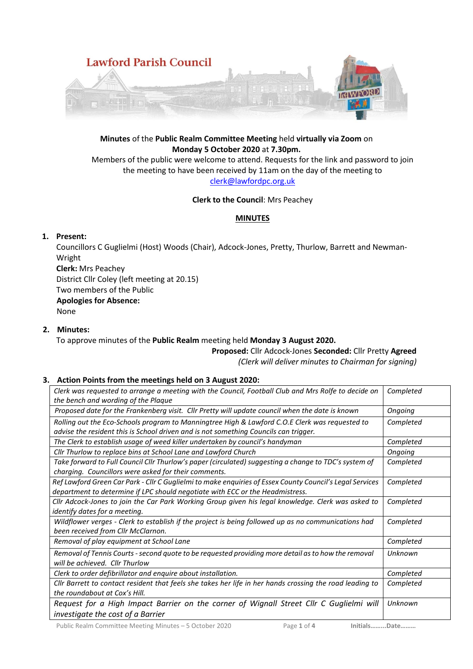

# **Minutes** of the **Public Realm Committee Meeting** held **virtually via Zoom** on **Monday 5 October 2020** at **7.30pm.**

Members of the public were welcome to attend. Requests for the link and password to join the meeting to have been received by 11am on the day of the meeting to [clerk@lawfordpc.org.uk](mailto:clerk@lawfordpc.org.uk)

## **Clerk to the Council**: Mrs Peachey

## **MINUTES**

# **1. Present:**

Councillors C Guglielmi (Host) Woods (Chair), Adcock-Jones, Pretty, Thurlow, Barrett and Newman-Wright

**Clerk:** Mrs Peachey District Cllr Coley (left meeting at 20.15) Two members of the Public **Apologies for Absence:**  None

## **2. Minutes:**

To approve minutes of the **Public Realm** meeting held **Monday 3 August 2020.**

**Proposed:** Cllr Adcock-Jones **Seconded:** Cllr Pretty **Agreed**

*(Clerk will deliver minutes to Chairman for signing)*

# **3. Action Points from the meetings held on 3 August 2020:**

| Clerk was requested to arrange a meeting with the Council, Football Club and Mrs Rolfe to decide on<br>the bench and wording of the Plaque                                                | Completed |
|-------------------------------------------------------------------------------------------------------------------------------------------------------------------------------------------|-----------|
| Proposed date for the Frankenberg visit. Cllr Pretty will update council when the date is known                                                                                           | Ongoing   |
| Rolling out the Eco-Schools program to Manningtree High & Lawford C.O.E Clerk was requested to<br>advise the resident this is School driven and is not something Councils can trigger.    | Completed |
| The Clerk to establish usage of weed killer undertaken by council's handyman                                                                                                              | Completed |
| Cllr Thurlow to replace bins at School Lane and Lawford Church                                                                                                                            | Ongoing   |
| Take forward to Full Council Cllr Thurlow's paper (circulated) suggesting a change to TDC's system of<br>charging. Councillors were asked for their comments.                             | Completed |
| Ref Lawford Green Car Park - Cllr C Guglielmi to make enquiries of Essex County Council's Legal Services<br>department to determine if LPC should negotiate with ECC or the Headmistress. | Completed |
| Cllr Adcock-Jones to join the Car Park Working Group given his legal knowledge. Clerk was asked to<br>identify dates for a meeting.                                                       | Completed |
| Wildflower verges - Clerk to establish if the project is being followed up as no communications had<br>been received from Cllr McClarnon.                                                 | Completed |
| Removal of play equipment at School Lane                                                                                                                                                  | Completed |
| Removal of Tennis Courts - second quote to be requested providing more detail as to how the removal<br>will be achieved. Cllr Thurlow                                                     | Unknown   |
| Clerk to order defibrillator and enquire about installation.                                                                                                                              | Completed |
| Cllr Barrett to contact resident that feels she takes her life in her hands crossing the road leading to<br>the roundabout at Cox's Hill.                                                 | Completed |
| Request for a High Impact Barrier on the corner of Wignall Street Cllr C Guglielmi will<br>investigate the cost of a Barrier                                                              | Unknown   |

Public Realm Committee Meeting Minutes – 5 October 2020 Page **1** of **4 Initials……...Date………**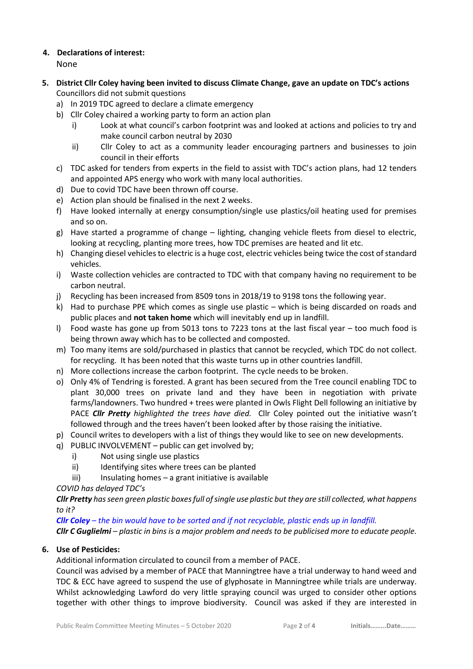# **4. Declarations of interest:**

None

- **5. District Cllr Coley having been invited to discuss Climate Change, gave an update on TDC's actions** Councillors did not submit questions
	- a) In 2019 TDC agreed to declare a climate emergency
	- b) Cllr Coley chaired a working party to form an action plan
		- i) Look at what council's carbon footprint was and looked at actions and policies to try and make council carbon neutral by 2030
		- ii) Cllr Coley to act as a community leader encouraging partners and businesses to join council in their efforts
	- c) TDC asked for tenders from experts in the field to assist with TDC's action plans, had 12 tenders and appointed APS energy who work with many local authorities.
	- d) Due to covid TDC have been thrown off course.
	- e) Action plan should be finalised in the next 2 weeks.
	- f) Have looked internally at energy consumption/single use plastics/oil heating used for premises and so on.
	- g) Have started a programme of change lighting, changing vehicle fleets from diesel to electric, looking at recycling, planting more trees, how TDC premises are heated and lit etc.
	- h) Changing diesel vehicles to electric is a huge cost, electric vehicles being twice the cost of standard vehicles.
	- i) Waste collection vehicles are contracted to TDC with that company having no requirement to be carbon neutral.
	- j) Recycling has been increased from 8509 tons in 2018/19 to 9198 tons the following year.
	- k) Had to purchase PPE which comes as single use plastic which is being discarded on roads and public places and **not taken home** which will inevitably end up in landfill.
	- l) Food waste has gone up from 5013 tons to 7223 tons at the last fiscal year too much food is being thrown away which has to be collected and composted.
	- m) Too many items are sold/purchased in plastics that cannot be recycled, which TDC do not collect. for recycling. It has been noted that this waste turns up in other countries landfill.
	- n) More collections increase the carbon footprint. The cycle needs to be broken.
	- o) Only 4% of Tendring is forested. A grant has been secured from the Tree council enabling TDC to plant 30,000 trees on private land and they have been in negotiation with private farms/landowners. Two hundred + trees were planted in Owls Flight Dell following an initiative by PACE *Cllr Pretty highlighted the trees have died.* Cllr Coley pointed out the initiative wasn't followed through and the trees haven't been looked after by those raising the initiative.
	- p) Council writes to developers with a list of things they would like to see on new developments.
	- q) PUBLIC INVOLVEMENT public can get involved by;
		- i) Not using single use plastics
		- ii) Identifying sites where trees can be planted
		- iii) Insulating homes a grant initiative is available

*COVID has delayed TDC's* 

*Cllr Pretty has seen green plastic boxesfull of single use plastic but they are still collected, what happens to it?*

*Cllr Coley – the bin would have to be sorted and if not recyclable, plastic ends up in landfill.*

*Cllr C Guglielmi – plastic in bins is a major problem and needs to be publicised more to educate people.*

# **6. Use of Pesticides:**

Additional information circulated to council from a member of PACE.

Council was advised by a member of PACE that Manningtree have a trial underway to hand weed and TDC & ECC have agreed to suspend the use of glyphosate in Manningtree while trials are underway. Whilst acknowledging Lawford do very little spraying council was urged to consider other options together with other things to improve biodiversity. Council was asked if they are interested in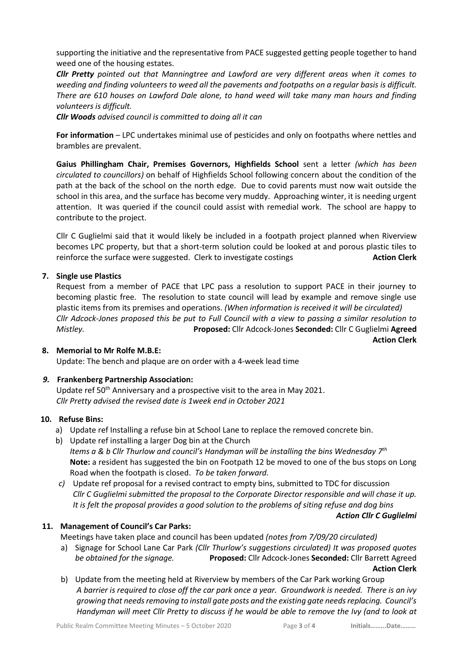supporting the initiative and the representative from PACE suggested getting people together to hand weed one of the housing estates.

*Cllr Pretty pointed out that Manningtree and Lawford are very different areas when it comes to weeding and finding volunteers to weed all the pavements and footpaths on a regular basis is difficult. There are 610 houses on Lawford Dale alone, to hand weed will take many man hours and finding volunteers is difficult.*

*Cllr Woods advised council is committed to doing all it can*

**For information** – LPC undertakes minimal use of pesticides and only on footpaths where nettles and brambles are prevalent.

**Gaius Phillingham Chair, Premises Governors, Highfields School** sent a letter *(which has been circulated to councillors)* on behalf of Highfields School following concern about the condition of the path at the back of the school on the north edge. Due to covid parents must now wait outside the school in this area, and the surface has become very muddy. Approaching winter, it is needing urgent attention. It was queried if the council could assist with remedial work. The school are happy to contribute to the project.

Cllr C Guglielmi said that it would likely be included in a footpath project planned when Riverview becomes LPC property, but that a short-term solution could be looked at and porous plastic tiles to reinforce the surface were suggested. Clerk to investigate costings **Action Clerk Action Clerk** 

## **7. Single use Plastics**

Request from a member of PACE that LPC pass a resolution to support PACE in their journey to becoming plastic free. The resolution to state council will lead by example and remove single use plastic items from its premises and operations. *(When information is received it will be circulated) Cllr Adcock-Jones proposed this be put to Full Council with a view to passing a similar resolution to Mistley.* **Proposed:** Cllr Adcock-Jones **Seconded:** Cllr C Guglielmi **Agreed** **Action Clerk**

#### **8. Memorial to Mr Rolfe M.B.E:**

Update: The bench and plaque are on order with a 4-week lead time

## *9.* **Frankenberg Partnership Association:**

Update ref 50<sup>th</sup> Anniversary and a prospective visit to the area in May 2021. *Cllr Pretty advised the revised date is 1week end in October 2021*

## **10. Refuse Bins:**

- a) Update ref Installing a refuse bin at School Lane to replace the removed concrete bin.
- b) Update ref installing a larger Dog bin at the Church *Items a & b Cllr Thurlow and council's Handyman will be installing the bins Wednesday 7th* **Note:** a resident has suggested the bin on Footpath 12 be moved to one of the bus stops on Long Road when the footpath is closed. *To be taken forward.*
- *c)* Update ref proposal for a revised contract to empty bins, submitted to TDC for discussion *Cllr C Guglielmi submitted the proposal to the Corporate Director responsible and will chase it up. It is felt the proposal provides a good solution to the problems of siting refuse and dog bins*

## **11. Management of Council's Car Parks:**

Meetings have taken place and council has been updated *(notes from 7/09/20 circulated)*

- a) Signage for School Lane Car Park *(Cllr Thurlow's suggestions circulated) It was proposed quotes be obtained for the signage.* **Proposed:** Cllr Adcock-Jones **Seconded:** Cllr Barrett Agreed  **Action Clerk**
- b) Update from the meeting held at Riverview by members of the Car Park working Group *A barrier is required to close off the car park once a year. Groundwork is needed. There is an ivy growing that needs removing to install gate posts and the existing gate needs replacing. Council's Handyman will meet Cllr Pretty to discuss if he would be able to remove the Ivy (and to look at*

*Action Cllr C Guglielmi*